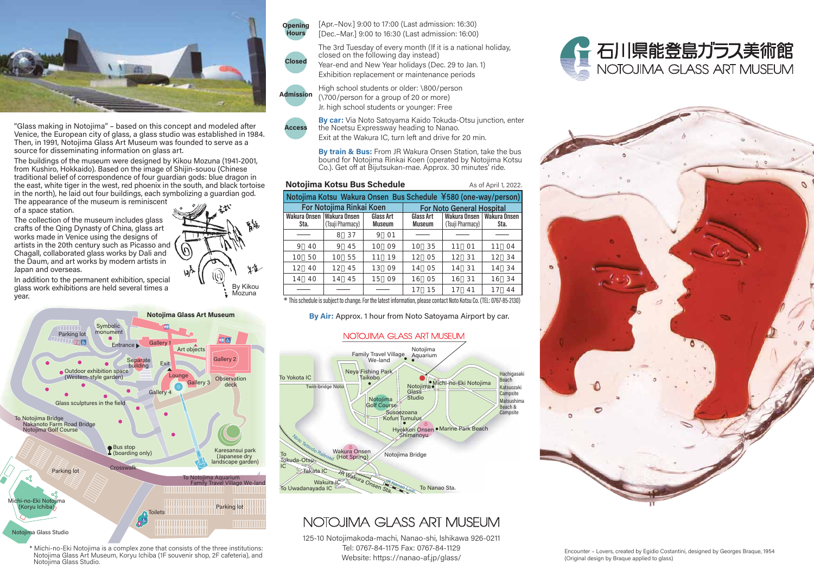

"Glass making in Notojima" - based on this concept and modeled after Venice, the European city of glass, a glass studio was established in 1984. Then, in 1991, Notojima Glass Art Museum was founded to serve as a source for disseminating information on glass art.

The buildings of the museum were designed by Kikou Mozuna (1941-2001, from Kushiro, Hokkaido). Based on the image of Shijin-souou (Chinese traditional belief of correspondence of four quardian gods: blue dragon in the east, white tiger in the west, red phoenix in the south, and black tortoise in the north), he laid out four buildings, each symbolizing a quardian god. The appearance of the museum is reminiscent of a space station.

The collection of the museum includes glass crafts of the Qing Dynasty of China, glass art works made in Venice using the designs of artists in the 20th century such as Picasso and Chagall, collaborated glass works by Dali and the Daum, and art works by modern artists in Japan and overseas.

In addition to the permanent exhibition, special glass work exhibitions are held several times a vear.



\* Michi-no-Eki Notojima is a complex zone that consists of the three institutions: Notojima Glass Art Museum, Koryu Ichiba (1F souvenir shop, 2F cafeteria), and Notojima Glass Studio.

Closed

[Apr.-Nov.] 9:00 to 17:00 (Last admission: 16:30) [Dec.-Mar.] 9:00 to 16:30 (Last admission: 16:00)

The 3rd Tuesday of every month (If it is a national holiday, closed on the following day instead) Year-end and New Year holidays (Dec. 29 to Jan. 1) Exhibition replacement or maintenance periods

High school students or older: \800/person **Admission** 

 $(1700/nerson for a group of 20 or more)$ Jr. high school students or younger: Free

**By car:** Via Noto Satovama Kaido Tokuda-Otsu junction, enter the Noetsu Expressway heading to Nanao. **Access** Exit at the Wakura IC, turn left and drive for 20 min.

By train & Bus: From JR Wakura Onsen Station, take the bus

bound for Notojima Rinkai Koen (operated by Notojima Kotsu Co.). Get off at Bijutsukan-mae. Approx. 30 minutes' ride.

As of April 1, 2022.

#### Notojima Kotsu Bus Schedule

Notojima Kotsu Wakura Onsen Bus Schedule ¥580 (one-way/person) **For Notojima Rinkaj Koen For Noto General Hospital** Wakura Onsen Wakura Onsen **Glass Art** Glass Art Wakura Onsen | Wakura Onsen **Museum** (Tsuji Pharmacy) Sta. (Tsuji Pharmacy) Museum Sta. 8 37  $9 \quad 01$  $9 \t40$  $945$  $10009$ 10 35  $11 - 01$  $11 \quad 04$ 10 50 10 55  $11 \quad 19$ 12 05 12 31 12 34 12 45 13 09 14 05 14 31 34 12 40 14  $14.40$  $14 - 45$  $1509$ 16 05 16 31 16 34  $17 \quad 41$  $17 - 15$ 17 44

\* This schedule is subject to change. For the latest information, please contact Noto Kotsu Co. (TEL: 0767-85-2130)

By Air: Approx. 1 hour from Noto Satoyama Airport by car.

## NOTOJIMA GLASS ART MUSEUM



# NOTOJIMA GLASS ART MUSEUM

125-10 Notojimakoda-machi, Nanao-shi, Ishikawa 926-0211 Tel: 0767-84-1175 Fax: 0767-84-1129 Website: https://nanao-af.jp/qlass/





Encounter - Lovers, created by Egidio Costantini, designed by Georges Braque, 1954 (Original design by Brague applied to glass)